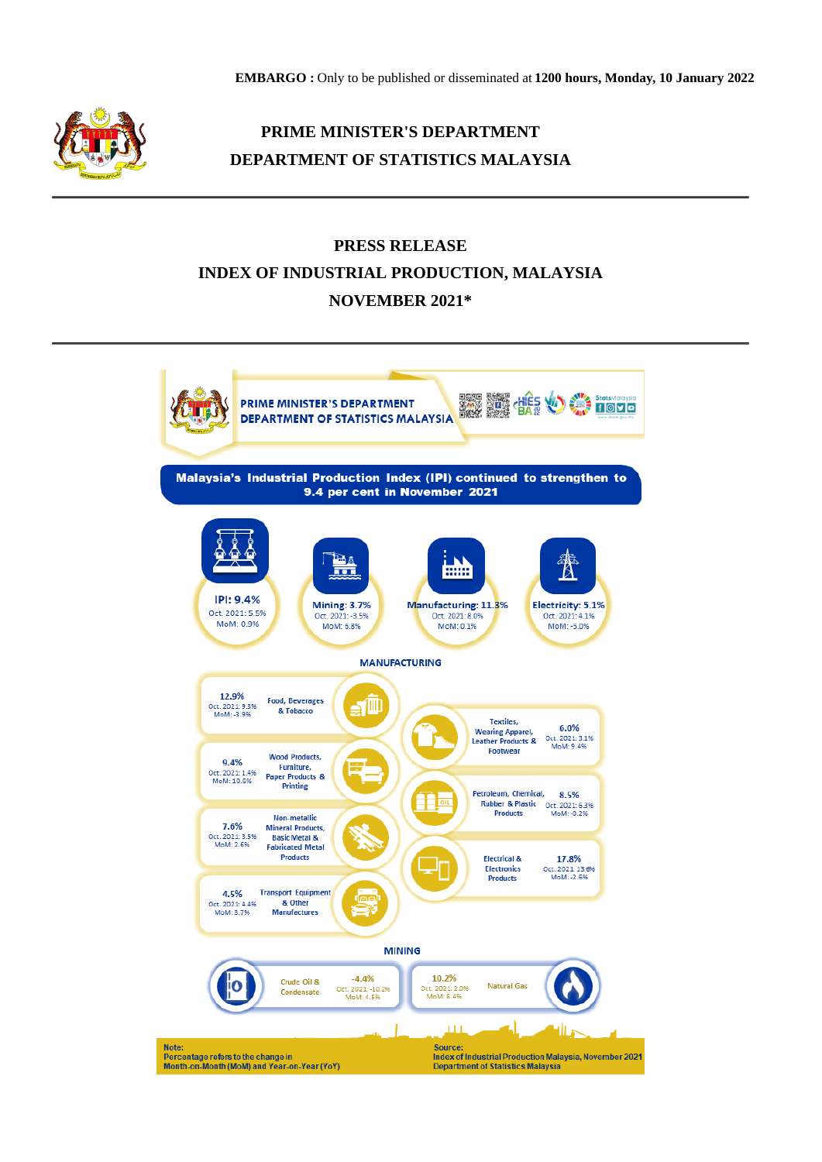**EMBARGO :** Only to be published or disseminated at **1200 hours, Monday, 10 January 2022**



## **PRIME MINISTER'S DEPARTMENT DEPARTMENT OF STATISTICS MALAYSIA**

## **PRESS RELEASE INDEX OF INDUSTRIAL PRODUCTION, MALAYSIA NOVEMBER 2021\***